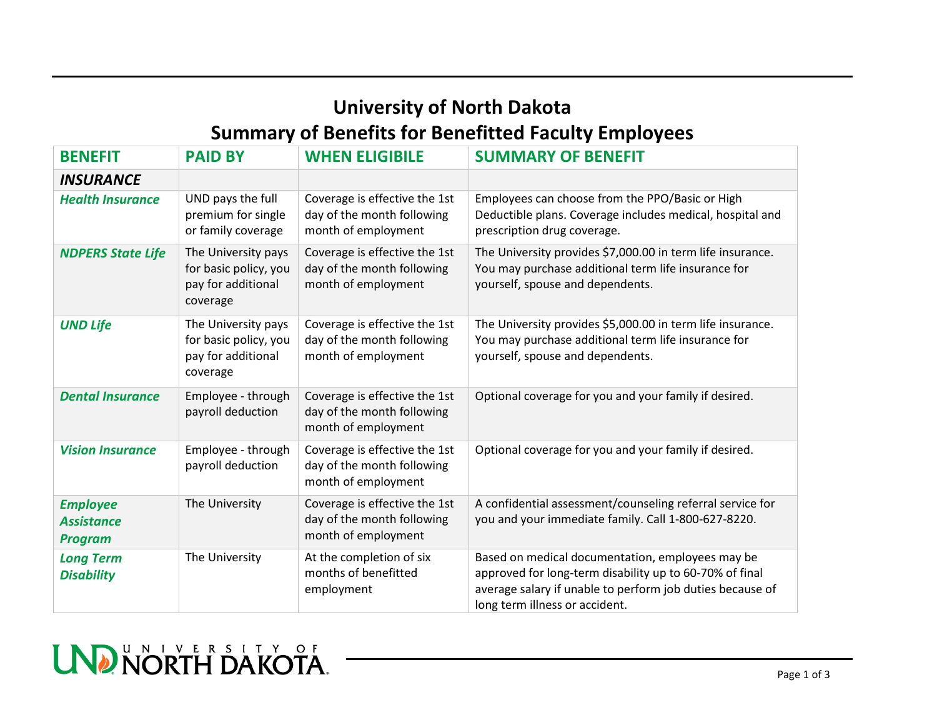## **University of North Dakota Summary of Benefits for Benefitted Faculty Employees**

| <b>BENEFIT</b>                                         | <b>PAID BY</b>                                                                 | <b>WHEN ELIGIBILE</b>                                                              | <b>SUMMARY OF BENEFIT</b>                                                                                                                                                                                  |
|--------------------------------------------------------|--------------------------------------------------------------------------------|------------------------------------------------------------------------------------|------------------------------------------------------------------------------------------------------------------------------------------------------------------------------------------------------------|
| <b>INSURANCE</b>                                       |                                                                                |                                                                                    |                                                                                                                                                                                                            |
| <b>Health Insurance</b>                                | UND pays the full<br>premium for single<br>or family coverage                  | Coverage is effective the 1st<br>day of the month following<br>month of employment | Employees can choose from the PPO/Basic or High<br>Deductible plans. Coverage includes medical, hospital and<br>prescription drug coverage.                                                                |
| <b>NDPERS State Life</b>                               | The University pays<br>for basic policy, you<br>pay for additional<br>coverage | Coverage is effective the 1st<br>day of the month following<br>month of employment | The University provides \$7,000.00 in term life insurance.<br>You may purchase additional term life insurance for<br>yourself, spouse and dependents.                                                      |
| <b>UND Life</b>                                        | The University pays<br>for basic policy, you<br>pay for additional<br>coverage | Coverage is effective the 1st<br>day of the month following<br>month of employment | The University provides \$5,000.00 in term life insurance.<br>You may purchase additional term life insurance for<br>yourself, spouse and dependents.                                                      |
| <b>Dental Insurance</b>                                | Employee - through<br>payroll deduction                                        | Coverage is effective the 1st<br>day of the month following<br>month of employment | Optional coverage for you and your family if desired.                                                                                                                                                      |
| <b>Vision Insurance</b>                                | Employee - through<br>payroll deduction                                        | Coverage is effective the 1st<br>day of the month following<br>month of employment | Optional coverage for you and your family if desired.                                                                                                                                                      |
| <b>Employee</b><br><b>Assistance</b><br><b>Program</b> | The University                                                                 | Coverage is effective the 1st<br>day of the month following<br>month of employment | A confidential assessment/counseling referral service for<br>you and your immediate family. Call 1-800-627-8220.                                                                                           |
| <b>Long Term</b><br><b>Disability</b>                  | The University                                                                 | At the completion of six<br>months of benefitted<br>employment                     | Based on medical documentation, employees may be<br>approved for long-term disability up to 60-70% of final<br>average salary if unable to perform job duties because of<br>long term illness or accident. |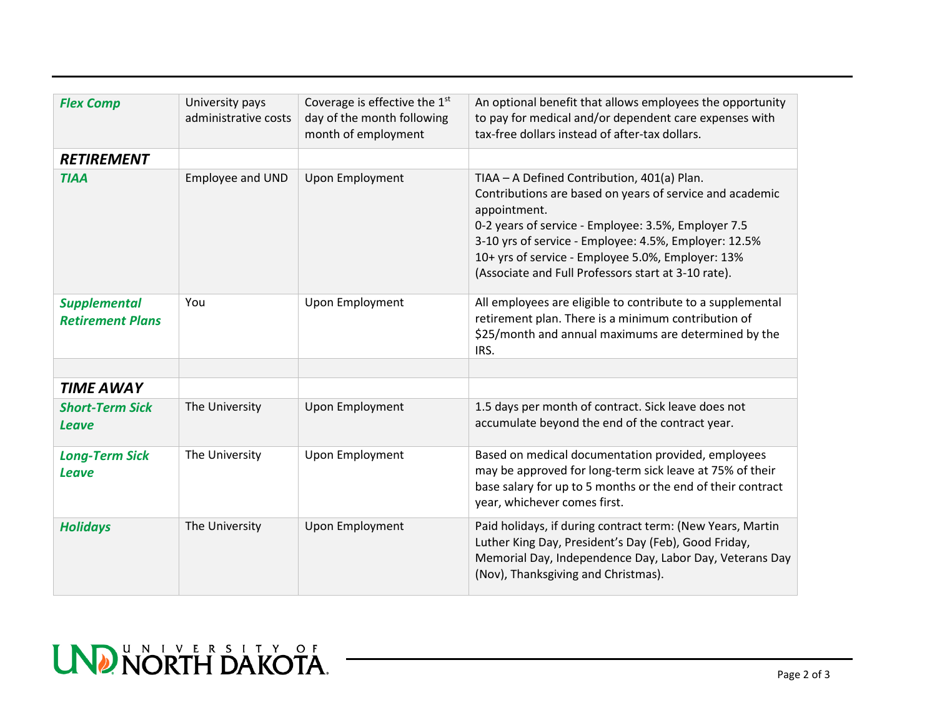| <b>Flex Comp</b>                               | University pays<br>administrative costs | Coverage is effective the 1st<br>day of the month following<br>month of employment | An optional benefit that allows employees the opportunity<br>to pay for medical and/or dependent care expenses with<br>tax-free dollars instead of after-tax dollars.                                                                                                                                                                               |
|------------------------------------------------|-----------------------------------------|------------------------------------------------------------------------------------|-----------------------------------------------------------------------------------------------------------------------------------------------------------------------------------------------------------------------------------------------------------------------------------------------------------------------------------------------------|
| <b>RETIREMENT</b>                              |                                         |                                                                                    |                                                                                                                                                                                                                                                                                                                                                     |
| <b>TIAA</b>                                    | Employee and UND                        | Upon Employment                                                                    | TIAA - A Defined Contribution, 401(a) Plan.<br>Contributions are based on years of service and academic<br>appointment.<br>0-2 years of service - Employee: 3.5%, Employer 7.5<br>3-10 yrs of service - Employee: 4.5%, Employer: 12.5%<br>10+ yrs of service - Employee 5.0%, Employer: 13%<br>(Associate and Full Professors start at 3-10 rate). |
| <b>Supplemental</b><br><b>Retirement Plans</b> | You                                     | Upon Employment                                                                    | All employees are eligible to contribute to a supplemental<br>retirement plan. There is a minimum contribution of<br>\$25/month and annual maximums are determined by the<br>IRS.                                                                                                                                                                   |
| <b>TIME AWAY</b>                               |                                         |                                                                                    |                                                                                                                                                                                                                                                                                                                                                     |
| <b>Short-Term Sick</b><br><b>Leave</b>         | The University                          | <b>Upon Employment</b>                                                             | 1.5 days per month of contract. Sick leave does not<br>accumulate beyond the end of the contract year.                                                                                                                                                                                                                                              |
| <b>Long-Term Sick</b><br><b>Leave</b>          | The University                          | Upon Employment                                                                    | Based on medical documentation provided, employees<br>may be approved for long-term sick leave at 75% of their<br>base salary for up to 5 months or the end of their contract<br>year, whichever comes first.                                                                                                                                       |
| <b>Holidays</b>                                | The University                          | <b>Upon Employment</b>                                                             | Paid holidays, if during contract term: (New Years, Martin<br>Luther King Day, President's Day (Feb), Good Friday,<br>Memorial Day, Independence Day, Labor Day, Veterans Day<br>(Nov), Thanksgiving and Christmas).                                                                                                                                |